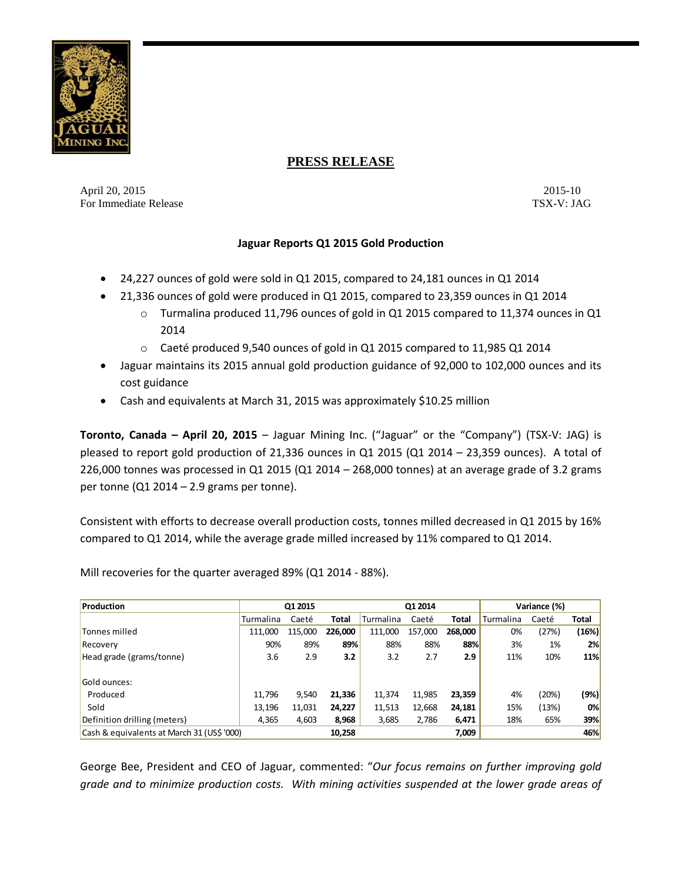

# **PRESS RELEASE**

April 20, 2015-10 2015-10 For Immediate Release TSX-V: JAG

## **Jaguar Reports Q1 2015 Gold Production**

- 24,227 ounces of gold were sold in Q1 2015, compared to 24,181 ounces in Q1 2014
- 21,336 ounces of gold were produced in Q1 2015, compared to 23,359 ounces in Q1 2014
	- $\circ$  Turmalina produced 11,796 ounces of gold in Q1 2015 compared to 11,374 ounces in Q1 2014
	- o Caeté produced 9,540 ounces of gold in Q1 2015 compared to 11,985 Q1 2014
- Jaguar maintains its 2015 annual gold production guidance of 92,000 to 102,000 ounces and its cost guidance
- Cash and equivalents at March 31, 2015 was approximately \$10.25 million

**Toronto, Canada – April 20, 2015** – Jaguar Mining Inc. ("Jaguar" or the "Company") (TSX-V: JAG) is pleased to report gold production of 21,336 ounces in Q1 2015 (Q1 2014 – 23,359 ounces). A total of 226,000 tonnes was processed in Q1 2015 (Q1 2014 – 268,000 tonnes) at an average grade of 3.2 grams per tonne (Q1 2014 – 2.9 grams per tonne).

Consistent with efforts to decrease overall production costs, tonnes milled decreased in Q1 2015 by 16% compared to Q1 2014, while the average grade milled increased by 11% compared to Q1 2014.

Mill recoveries for the quarter averaged 89% (Q1 2014 - 88%).

| Production                                 | Q1 2015   |         |              | Q1 2014   |         |         | Variance (%) |       |       |
|--------------------------------------------|-----------|---------|--------------|-----------|---------|---------|--------------|-------|-------|
|                                            | Turmalina | Caeté   | <b>Total</b> | Turmalina | Caeté   | Total   | Turmalina    | Caeté | Total |
| Tonnes milled                              | 111.000   | 115,000 | 226,000      | 111,000   | 157,000 | 268,000 | 0%           | (27%) | (16%) |
| Recovery                                   | 90%       | 89%     | 89%          | 88%       | 88%     | 88%     | 3%           | 1%    | 2%    |
| Head grade (grams/tonne)                   | 3.6       | 2.9     | 3.2          | 3.2       | 2.7     | 2.9     | 11%          | 10%   | 11%   |
|                                            |           |         |              |           |         |         |              |       |       |
| Gold ounces:                               |           |         |              |           |         |         |              |       |       |
| Produced                                   | 11,796    | 9,540   | 21,336       | 11,374    | 11,985  | 23,359  | 4%           | (20%) | (9%)  |
| Sold                                       | 13,196    | 11,031  | 24,227       | 11,513    | 12,668  | 24,181  | 15%          | (13%) | 0%    |
| Definition drilling (meters)               | 4.365     | 4,603   | 8,968        | 3,685     | 2.786   | 6,471   | 18%          | 65%   | 39%   |
| Cash & equivalents at March 31 (US\$ '000) |           |         | 10,258       |           |         | 7,009   |              |       | 46%   |

George Bee, President and CEO of Jaguar, commented: "*Our focus remains on further improving gold grade and to minimize production costs. With mining activities suspended at the lower grade areas of*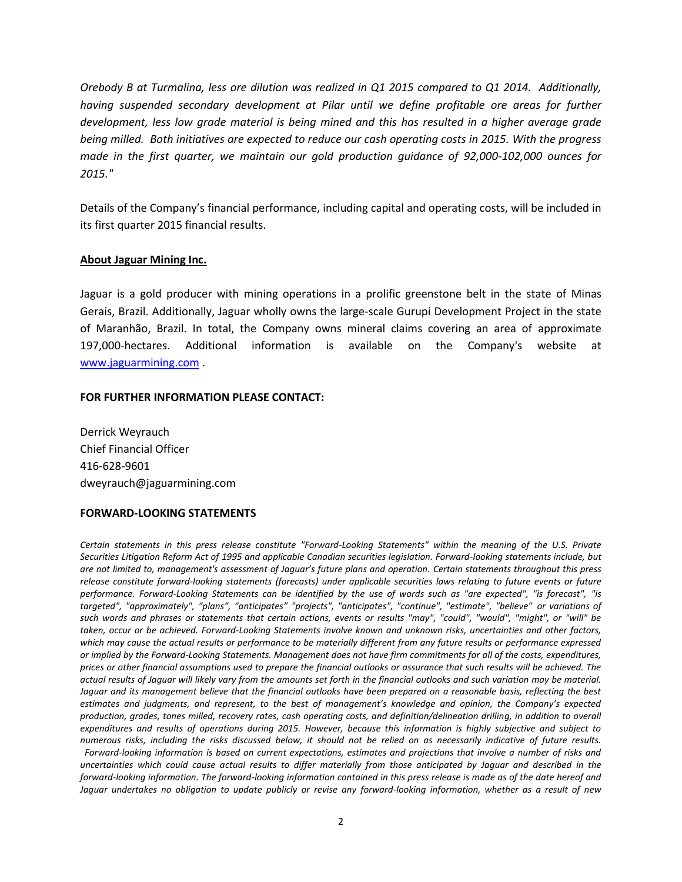*Orebody B at Turmalina, less ore dilution was realized in Q1 2015 compared to Q1 2014. Additionally, having suspended secondary development at Pilar until we define profitable ore areas for further development, less low grade material is being mined and this has resulted in a higher average grade being milled. Both initiatives are expected to reduce our cash operating costs in 2015. With the progress made in the first quarter, we maintain our gold production guidance of 92,000-102,000 ounces for 2015."*

Details of the Company's financial performance, including capital and operating costs, will be included in its first quarter 2015 financial results.

### **About Jaguar Mining Inc.**

Jaguar is a gold producer with mining operations in a prolific greenstone belt in the state of Minas Gerais, Brazil. Additionally, Jaguar wholly owns the large-scale Gurupi Development Project in the state of Maranhão, Brazil. In total, the Company owns mineral claims covering an area of approximate 197,000-hectares. Additional information is available on the Company's website at [www.jaguarmining.com](http://www.jaguarmining.com/) .

### **FOR FURTHER INFORMATION PLEASE CONTACT:**

Derrick Weyrauch Chief Financial Officer 416-628-9601 dweyrauch@jaguarmining.com

#### **FORWARD-LOOKING STATEMENTS**

*Certain statements in this press release constitute "Forward-Looking Statements" within the meaning of the U.S. Private Securities Litigation Reform Act of 1995 and applicable Canadian securities legislation. Forward-looking statements include, but are not limited to, management's assessment of Jaguar's future plans and operation. Certain statements throughout this press release constitute forward-looking statements (forecasts) under applicable securities laws relating to future events or future performance. Forward-Looking Statements can be identified by the use of words such as "are expected", "is forecast", "is targeted", "approximately", "plans", "anticipates" "projects", "anticipates", "continue", "estimate", "believe" or variations of such words and phrases or statements that certain actions, events or results "may", "could", "would", "might", or "will" be taken, occur or be achieved. Forward-Looking Statements involve known and unknown risks, uncertainties and other factors, which may cause the actual results or performance to be materially different from any future results or performance expressed or implied by the Forward-Looking Statements. Management does not have firm commitments for all of the costs, expenditures, prices or other financial assumptions used to prepare the financial outlooks or assurance that such results will be achieved. The actual results of Jaguar will likely vary from the amounts set forth in the financial outlooks and such variation may be material. Jaguar and its management believe that the financial outlooks have been prepared on a reasonable basis, reflecting the best estimates and judgments, and represent, to the best of management's knowledge and opinion, the Company's expected production, grades, tones milled, recovery rates, cash operating costs, and definition/delineation drilling, in addition to overall expenditures and results of operations during 2015. However, because this information is highly subjective and subject to numerous risks, including the risks discussed below, it should not be relied on as necessarily indicative of future results. Forward-looking information is based on current expectations, estimates and projections that involve a number of risks and uncertainties which could cause actual results to differ materially from those anticipated by Jaguar and described in the forward-looking information. The forward-looking information contained in this press release is made as of the date hereof and Jaguar undertakes no obligation to update publicly or revise any forward-looking information, whether as a result of new*